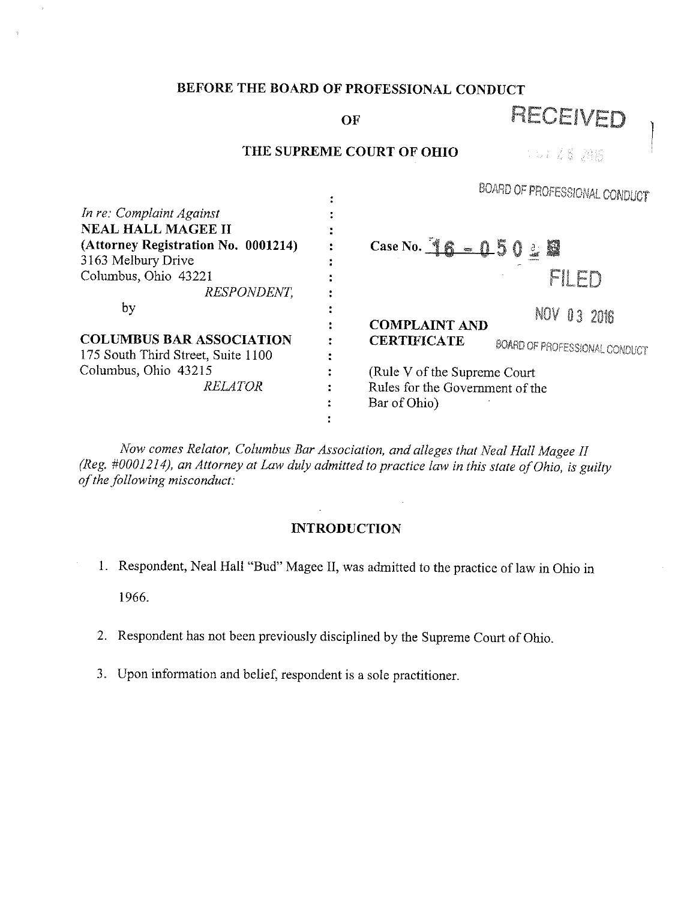# **BEFORE THE BOARD OF PROFESSIONAL CONDUCT**

OF **RECEIVED** 

# **THE SUPREME COURT OF OHIO**

10128 消害

|                                     | WOMAND OF FROMESSIONAL CONDUCT                             |  |  |
|-------------------------------------|------------------------------------------------------------|--|--|
| In re: Complaint Against            |                                                            |  |  |
| <b>NEAL HALL MAGEE II</b>           |                                                            |  |  |
| (Attorney Registration No. 0001214) | Case No. $16 - 0.50$<br><b>K</b><br>$\frac{1}{\sqrt{2}}$   |  |  |
| 3163 Melbury Drive                  |                                                            |  |  |
| Columbus, Ohio 43221                |                                                            |  |  |
| RESPONDENT,                         |                                                            |  |  |
| by                                  | NOV 03 2016                                                |  |  |
|                                     | <b>COMPLAINT AND</b>                                       |  |  |
| <b>COLUMBUS BAR ASSOCIATION</b>     | <b>CERTIFICATE</b><br><b>BOARD OF PROFESSIONAL CONDUCT</b> |  |  |
| 175 South Third Street, Suite 1100  |                                                            |  |  |
| Columbus, Ohio 43215                | (Rule V of the Supreme Court                               |  |  |
| <b>RELATOR</b>                      | Rules for the Government of the                            |  |  |
|                                     | Bar of Ohio)                                               |  |  |
|                                     |                                                            |  |  |

*Now comes Relator, Columbus Bar Association, and alleges that Neal Hall Magee II (Reg. #0001214), an Attorney at Law duly admitted to practice law in this state of Ohio, is guilty of the following misconduct:* 

# **INTRODUCTION**

- I. Respondent, Neal Hall "Bud" Magee II, was admitted to the practice of law in Ohio in 1966.
- 2. Respondent has not been previously disciplined by the Supreme Court of Ohio.
- 3. Upon information and belief, respondent is a sole practitioner.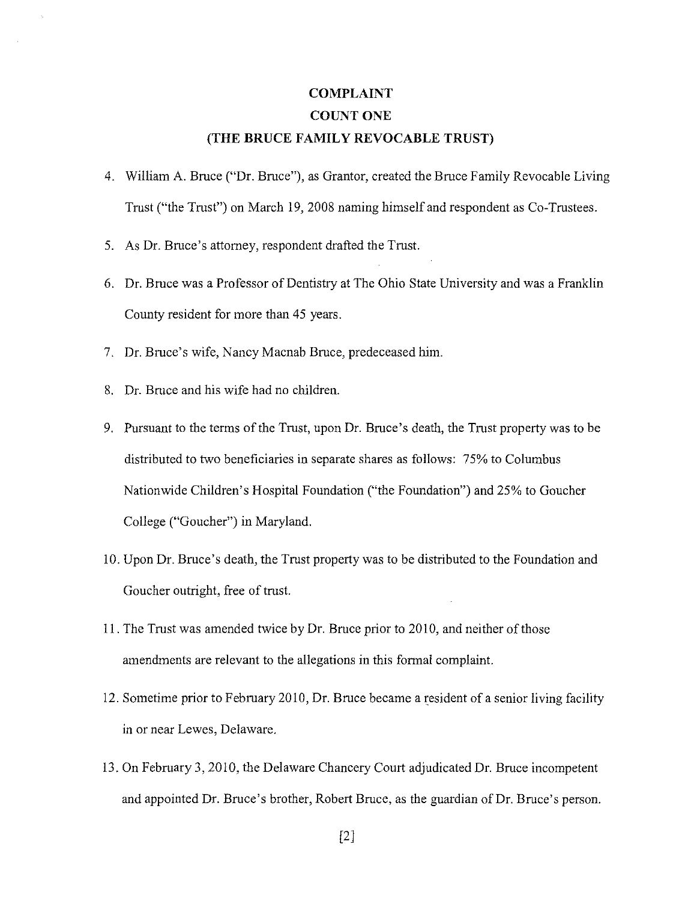# **COMPLAINT COUNT ONE**

### **(THE BRUCE FAMILY REVOCABLE TRUST)**

- 4. William A. Bruce ("Dr. Bruce"), as Grantor, created the Bruce Family Revocable Living Trust ("the Trust") on March 19, 2008 naming himself and respondent as Co-Trustees.
- 5. As Dr. Bruce's attorney, respondent drafted the Trust.
- 6. Dr. Bruce was a Professor of Dentistry at The Ohio State University and was a Franklin County resident for more than 45 years.
- 7. Dr. Bruce's wife, Nancy Macnab Bruce, predeceased him.
- 8. Dr. Bruce and his wife had no children.
- 9. Pursuant to the terms of the Trust, upon Dr. Bruce's death, the Trust property was to be distributed to two beneficiaries in separate shares as follows: 75% to Columbus Nationwide Children's Hospital Foundation ("the Foundation") and 25% to Goucher College ("Goucher") in Maryland.
- 10. Upon Dr. Bruce's death, the Trust property was to be distributed to the Foundation and Goucher outright, free of trust.
- 11. The Trust was amended twice by Dr. Bruce prior to 2010, and neither of those amendments are relevant to the allegations in this formal complaint.
- 12. Sometime prior to February 2010, Dr. Bruce became a resident of a senior living facility in or near Lewes, Delaware.
- 13. On February 3, 2010, the Delaware Chancery Court adjudicated Dr. Bruce incompetent and appointed Dr. Bruce's brother, Robert Bruce, as the guardian of Dr. Bruce's person.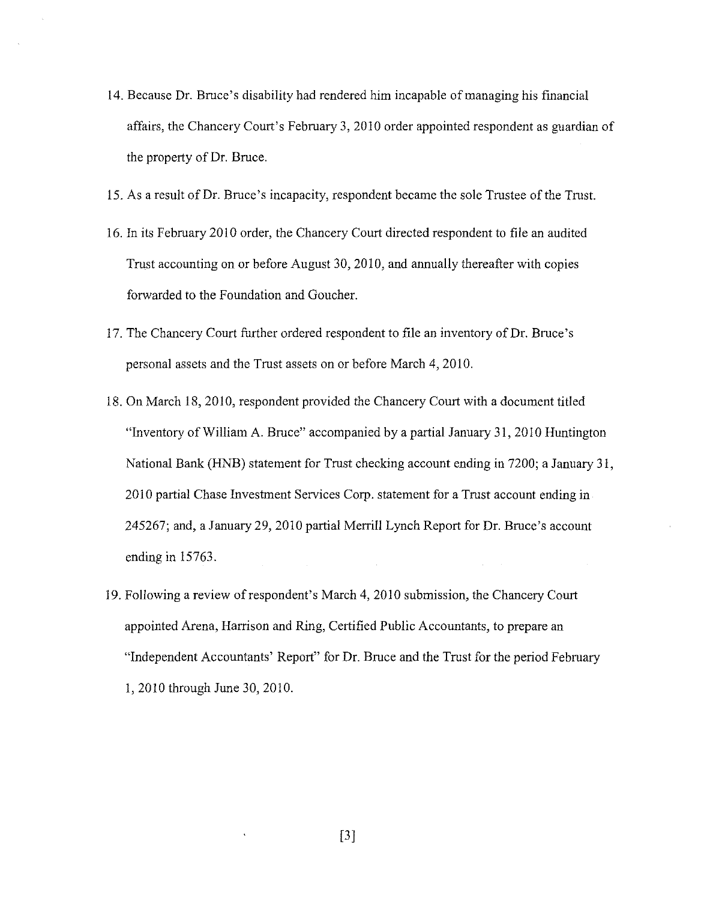- 14. Because Dr. Bruce's disability had rendered him incapable of managing his financial affairs, the Chancery Court's February 3, 2010 order appointed respondent as guardian of the property of Dr. Bruce.
- 15. As a result of Dr. Bruce's incapacity, respondent became the sole Trustee of the Trust.
- 16. In its February 2010 order, the Chancery Court directed respondent to file an audited Trust accounting on or before August 30, 2010, and annually thereafter with copies forwarded to the Foundation and Goucher.
- 17. The Chancery Court further ordered respondent to file an inventory of Dr. Bruce's personal assets and the Trust assets on or before March 4, 2010.
- 18. On March 18, 2010, respondent provided the Chancery Court with a document titled "Inventory of William A. Bruce" accompanied by a partial January 31, 2010 Huntington National Bank (HNB) statement for Trust checking account ending in 7200; a January 31, 2010 partial Chase Investment Services Corp. statement for a Trust account ending in 245267; and, a January 29, 2010 partial Merrill Lynch Report for Dr. Bruce's account ending in 15763.
- 19. Following a review ofrespondent's March 4, 2010 submission, the Chancery Court appointed Arena, Harrison and Ring, Certified Public Accountants, to prepare an "Independent Accountants' Report" for Dr. Bruce and the Trust for the period February I, 2010 through June 30, 2010.

[3]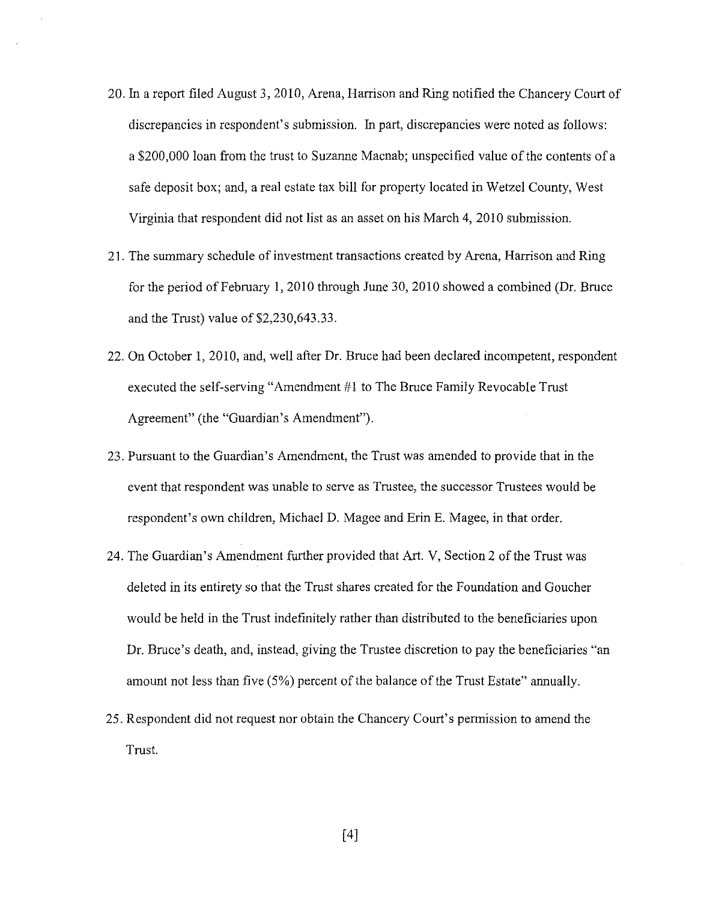- 20. In a report filed August 3, 2010, Arena, Harrison and Ring notified the Chancery Court of discrepancies in respondent's submission. In part, discrepancies were noted as follows: a \$200,000 loan from the trust to Suzanne Macnab; unspecified value of the contents ofa safe deposit box; and, a real estate tax bill for property located in Wetzel County, West Virginia that respondent did not list as an asset on his March 4, 2010 submission.
- 21. The summary schedule of investment transactions created by Arena, Harrison and Ring for the period of February 1, 2010 through June 30, 2010 showed a combined (Dr. Bruce and the Trust) value of \$2,230,643.33.
- 22. On October 1, 2010, and, well after Dr. Bruce had been declared incompetent, respondent executed the self-serving "Amendment #1 to The Bruce Family Revocable Trust Agreement" (the "Guardian's Amendment").
- 23. Pursuant to the Guardian's Amendment, the Trust was amended to provide that in the event that respondent was unable to serve as Trustee, the successor Trustees would be respondent's own children, Michael D. Magee and Erin E. Magee, in that order.
- 24. The Guardian's Amendment further provided that Art. V, Section 2 of the Trust was deleted in its entirety so that the Trust shares created for the Foundation and Goucher would be held in the Trust indefinitely rather than distributed to the beneficiaries upon Dr. Bruce's death, and, instead, giving the Trustee discretion to pay the beneficiaries "an amount not less than five (5%) percent of the balance of the Trust Estate" annually.
- 25. Respondent did not request nor obtain the Chancery Court's permission to amend the Trust.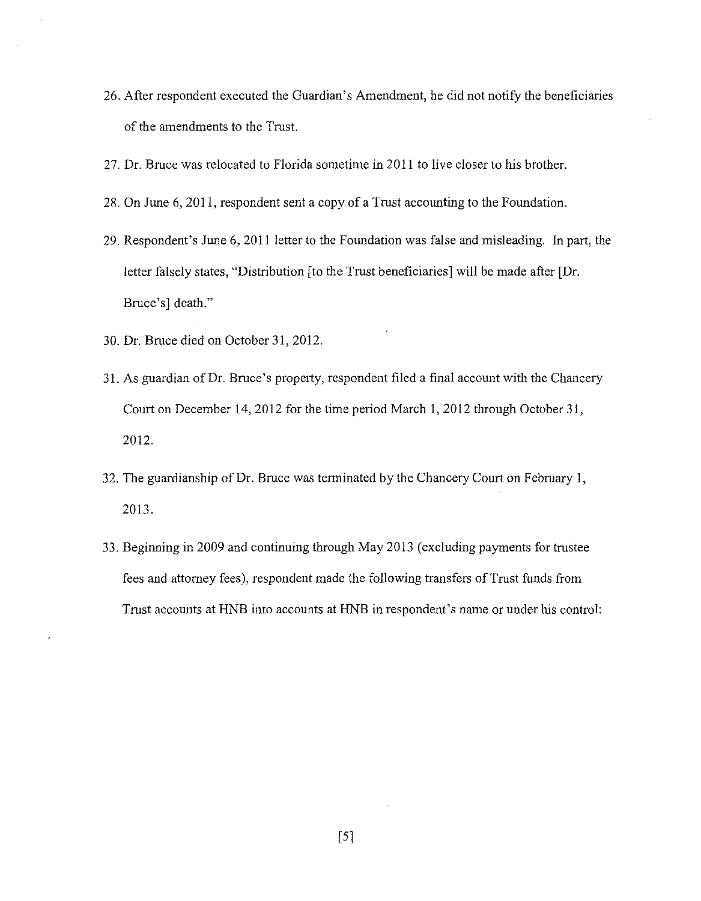- 26. After respondent executed the Guardian's Amendment, he did not notify the beneficiaries of the amendments to the Trust.
- 27. Dr. Bruce was relocated to Florida sometime in 2011 to live closer to his brother.
- 28. On June 6, 2011, respondent sent a copy of a Trust accounting to the Foundation.
- 29. Respondent's June 6, 2011 letter to the Foundation was false and misleading. In part, the letter falsely states, "Distribution [to the Trust beneficiaries] will be made after [Dr. Bruce's] death."
- 30. Dr. Bruce died on October 31, 2012.
- 31. As guardian of Dr. Bruce's property, respondent filed a final account with the Chancery Court on December 14, 2012 for the time period March I, 2012 through October 31, 2012.
- 32. The guardianship of Dr. Bruce was terminated by the Chancery Court on February I, 2013.
- 33. Beginning in 2009 and continuing through May 2013 (excluding payments for trustee fees and attorney fees), respondent made the following transfers of Trust funds from Trust accounts at HNB into accounts at HNB in respondent's name or under his control:

[5]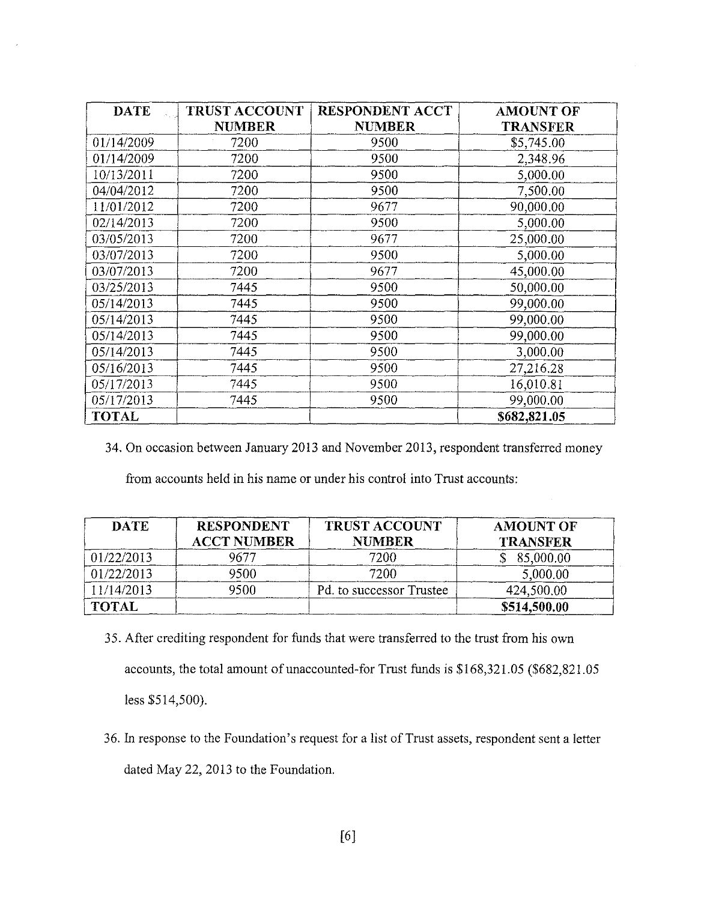| <b>DATE</b>  | <b>TRUST ACCOUNT</b> | <b>RESPONDENT ACCT</b> | <b>AMOUNT OF</b> |
|--------------|----------------------|------------------------|------------------|
|              | <b>NUMBER</b>        | <b>NUMBER</b>          | <b>TRANSFER</b>  |
| 01/14/2009   | 7200                 | 9500                   | \$5,745.00       |
| 01/14/2009   | 7200                 | 9500                   | 2,348.96         |
| 10/13/2011   | 7200                 | 9500                   | 5,000.00         |
| 04/04/2012   | 7200                 | 9500                   | 7,500.00         |
| 11/01/2012   | 7200                 | 9677                   | 90,000.00        |
| 02/14/2013   | 7200                 | 9500                   | 5,000.00         |
| 03/05/2013   | 7200                 | 9677                   | 25,000.00        |
| 03/07/2013   | 7200                 | 9500                   | 5,000.00         |
| 03/07/2013   | 7200                 | 9677                   | 45,000.00        |
| 03/25/2013   | 7445                 | 9500                   | 50,000.00        |
| 05/14/2013   | 7445                 | 9500                   | 99,000.00        |
| 05/14/2013   | 7445                 | 9500                   | 99,000.00        |
| 05/14/2013   | 7445                 | 9500                   | 99,000.00        |
| 05/14/2013   | 7445                 | 9500                   | 3,000.00         |
| 05/16/2013   | 7445                 | 9500                   | 27,216.28        |
| 05/17/2013   | 7445                 | 9500                   | 16,010.81        |
| 05/17/2013   | 7445                 | 9500                   | 99,000.00        |
| <b>TOTAL</b> |                      |                        | \$682,821.05     |

34. On occasion between January 2013 and November 2013, respondent transferred money

from accounts held in his name or under his control into Trust accounts:

| <b>DATE</b>  | <b>RESPONDENT</b><br><b>ACCT NUMBER</b> | <b>TRUST ACCOUNT</b><br><b>NUMBER</b> | <b>AMOUNT OF</b><br><b>TRANSFER</b> |
|--------------|-----------------------------------------|---------------------------------------|-------------------------------------|
| 01/22/2013   | 9677                                    | 7200                                  | 85,000.00                           |
| 01/22/2013   | 9500                                    | 7200                                  | 5,000.00                            |
| 11/14/2013   | 9500                                    | Pd. to successor Trustee              | 424,500.00                          |
| <b>TOTAL</b> |                                         |                                       | \$514,500.00                        |

- 3 5. After crediting respondent for funds that were transferred to the trust from his own accounts, the total amount of unaccounted-for Trust funds is \$168,321.05 (\$682,821.05 less \$514,500).
- 36. In response to the Foundation's request for a list of Trust assets, respondent sent a letter dated May 22, 2013 to the Foundation.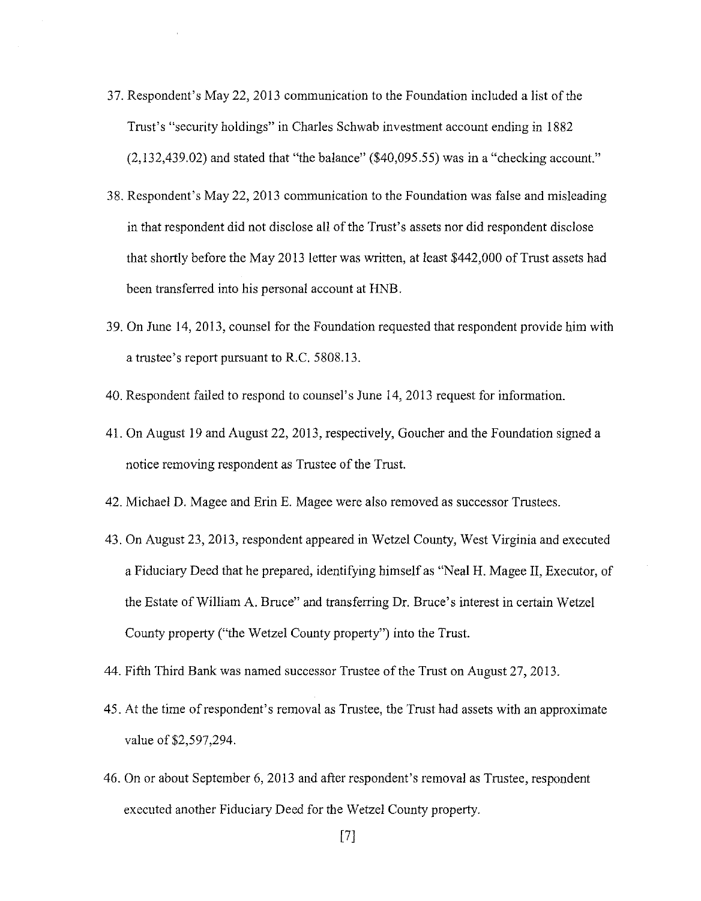- 37. Respondent's May 22, 2013 communication to the Foundation included a list of the Trust's "security holdings" in Charles Schwab investment account ending in 1882  $(2,132,439.02)$  and stated that "the balance"  $(\$40,095.55)$  was in a "checking account."
- 38. Respondent's May 22, 2013 communication to the Foundation was false and misleading in that respondent did not disclose all of the Trust's assets nor did respondent disclose that shortly before the May 2013 letter was written, at least \$442,000 of Trust assets had been transferred into his personal account at HNB.
- 39. On June 14, 2013, counsel for the Foundation requested that respondent provide him with a trustee's report pursuant to R.C. 5808.13.
- 40. Respondent failed to respond to counsel's June 14, 2013 request for information.
- 41. On August 19 and August 22, 2013, respectively, Goucher and the Foundation signed a notice removing respondent as Trustee of the Trust.
- 42. Michael D. Magee and Erin E. Magee were also removed as successor Trustees.
- 43. On August 23, 2013, respondent appeared in Wetzel County, West Virginia and executed a Fiduciary Deed that he prepared, identifying himself as "Neal H. Magee II, Executor, of the Estate of William A. Bruce" and transferring Dr. Bruce's interest in certain Wetzel County property ("the Wetzel County property") into the Trust.
- 44. Fifth Third Bank was named successor Trustee of the Trust on August 27, 2013.
- 45. At the time of respondent's removal as Trustee, the Trust had assets with an approximate value of \$2,597,294.
- 46. On or about September 6, 2013 and after respondent's removal as Trustee, respondent executed another Fiduciary Deed for the Wetzel County property.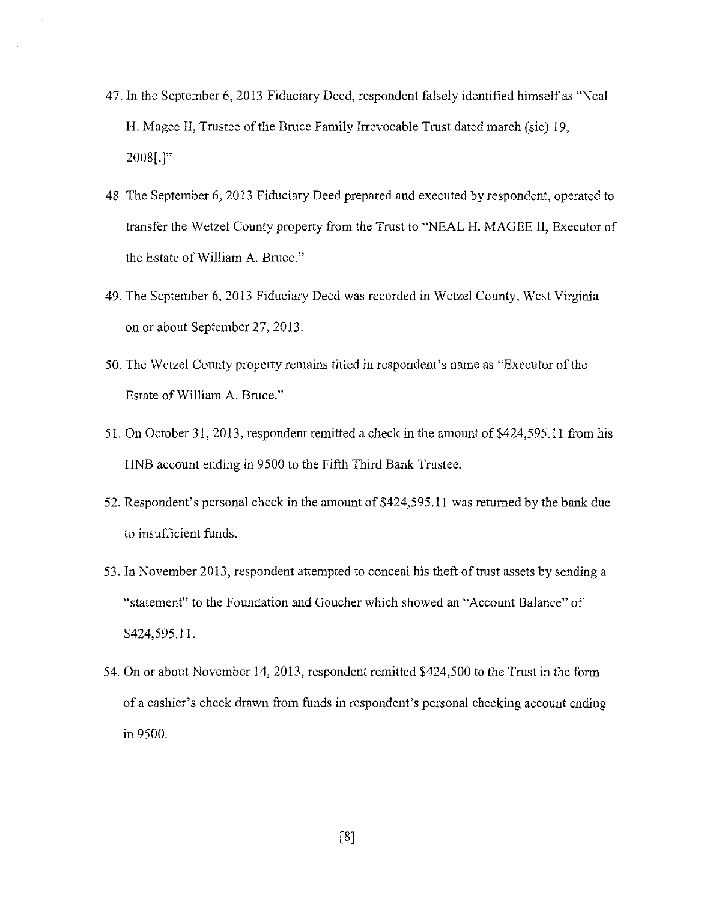- 47. In the September 6, 2013 Fiduciary Deed, respondent falsely identified himself as "Neal H. Magee II, Trustee of the Bruce Family Irrevocable Trust dated march (sic) 19, 2008(.]"
- 48. The September 6, 2013 Fiduciary Deed prepared and executed by respondent, operated to transfer the Wetzel County property from the Trust to "NEAL H. MAGEE II, Executor of the Estate of William A. Bruce."
- 49. The September 6, 2013 Fiduciary Deed was recorded in Wetzel County, West Virginia on or about September 27, 2013.
- 50. The Wetzel County property remains titled in respondent's name as "Executor of the Estate of William A. Bruce."
- 51. On October 31, 2013, respondent remitted a check in the amount of \$424,595.11 from his HNB account ending in 9500 to the Fifth Third Bank Trustee.
- 52. Respondent's personal check in the amount of \$424,595.11 was returned by the bank due to insufficient funds.
- 53. In November 2013, respondent attempted to conceal his theft of trust assets by sending a "statement" to the Foundation and Goucher which showed an "Account Balance" of \$424,595.11.
- 54. On or about November 14, 2013, respondent remitted \$424,500 to the Trust in the form of a cashier's check drawn from funds in respondent's personal checking account ending in 9500.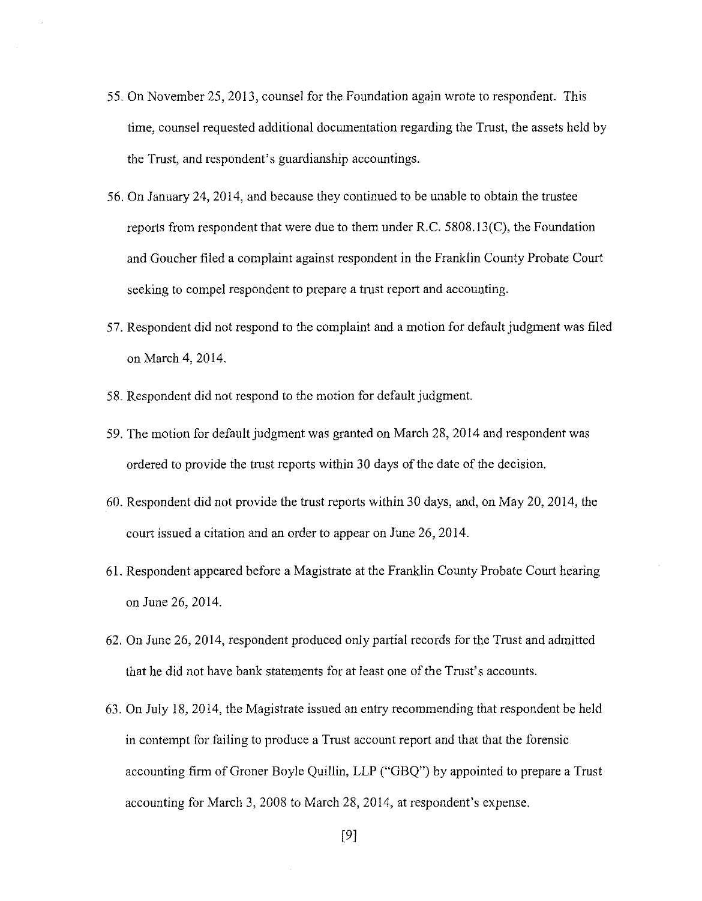- 55. On November 25, 2013, counsel for the Foundation again wrote to respondent. This time, counsel requested additional documentation regarding the Trust, the assets held by the Trust, and respondent's guardianship accountings.
- 56. On January 24, 2014, and because they continued to be unable to obtain the trustee reports from respondent that were due to them under R.C. 5808.13(C), the Foundation and Goucher filed a complaint against respondent in the Franklin County Probate Court seeking to compel respondent to prepare a trust report and accounting.
- 57. Respondent did not respond to the complaint and a motion for default judgment was filed on March 4, 2014.
- 58. Respondent did not respond to the motion for default judgment.
- 59. The motion for default judgment was granted on March 28, 2014 and respondent was ordered to provide the trust reports within 30 days of the date of the decision.
- 60. Respondent did not provide the trust reports within 30 days, and, on May 20, 2014, the court issued a citation and an order to appear on June 26, 2014.
- 61. Respondent appeared before a Magistrate at the Franklin County Probate Court hearing on June 26, 2014.
- 62. On June 26, 2014, respondent produced only partial records for the Trust and admitted that he did not have bank statements for at least one of the Trust's accounts.
- 63. On July 18, 2014, the Magistrate issued an entry recommending that respondent be held in contempt for failing to produce a Trust account report and that that the forensic accounting firm of Groner Boyle Quillin, LLP ("GBQ") by appointed to prepare a Trust accounting for March 3, 2008 to March 28, 2014, at respondent's expense.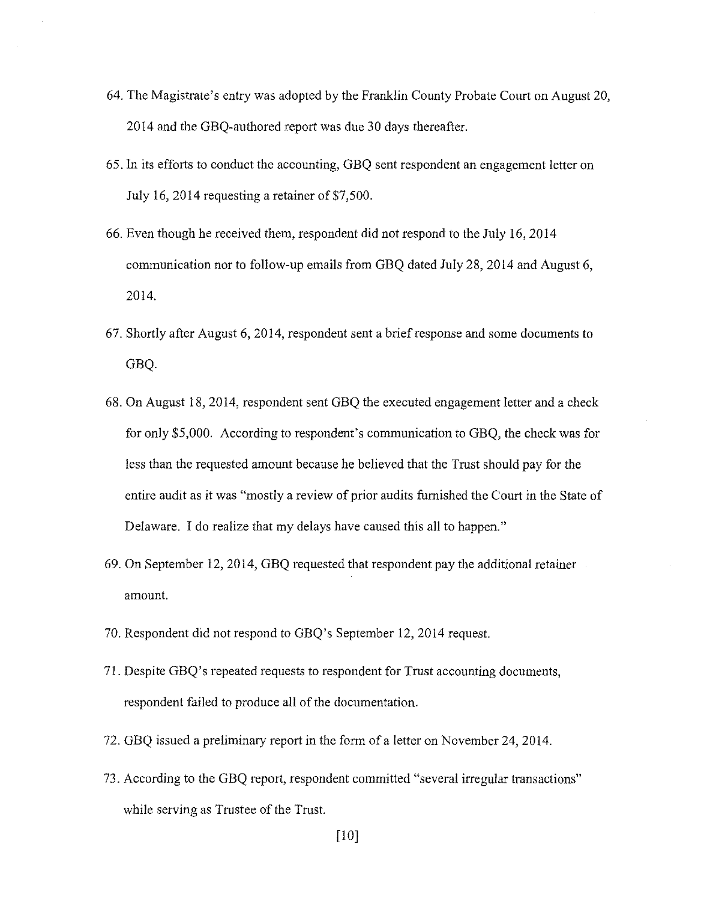- 64. The Magistrate's entry was adopted by the Franklin County Probate Court on August 20, 2014 and the GBQ-authored report was due 30 days thereafter.
- 65. In its efforts to conduct the accounting, GBQ sent respondent an engagement letter on July 16, 2014 requesting a retainer of  $$7,500$ .
- 66. Even though he received them, respondent did not respond to the July 16, 2014 communication nor to follow-up emails from GBQ dated July 28, 2014 and August 6, 2014.
- 67. Shortly after August 6, 2014, respondent sent a brief response and some documents to GBQ.
- 68. On August 18, 2014, respondent sent GBQ the executed engagement letter and a check for only \$5,000. According to respondent's communication to GBQ, the check was for less than the requested amount because he believed that the Trust should pay for the entire audit as it was "mostly a review of prior audits furnished the Court in the State of Delaware. I do realize that my delays have caused this all to happen."
- 69. On September 12, 2014, GBQ requested that respondent pay the additional retainer amount.
- 70. Respondent did not respond to GBQ's September 12, 2014 request.
- 71. Despite GBQ's repeated requests to respondent for Trust accounting documents, respondent failed to produce all of the documentation.
- 72. GBQ issued a preliminary report in the form of a letter on November 24, 2014.
- 73. According to the GBQ report, respondent committed "several irregular transactions" while serving as Trustee of the Trust.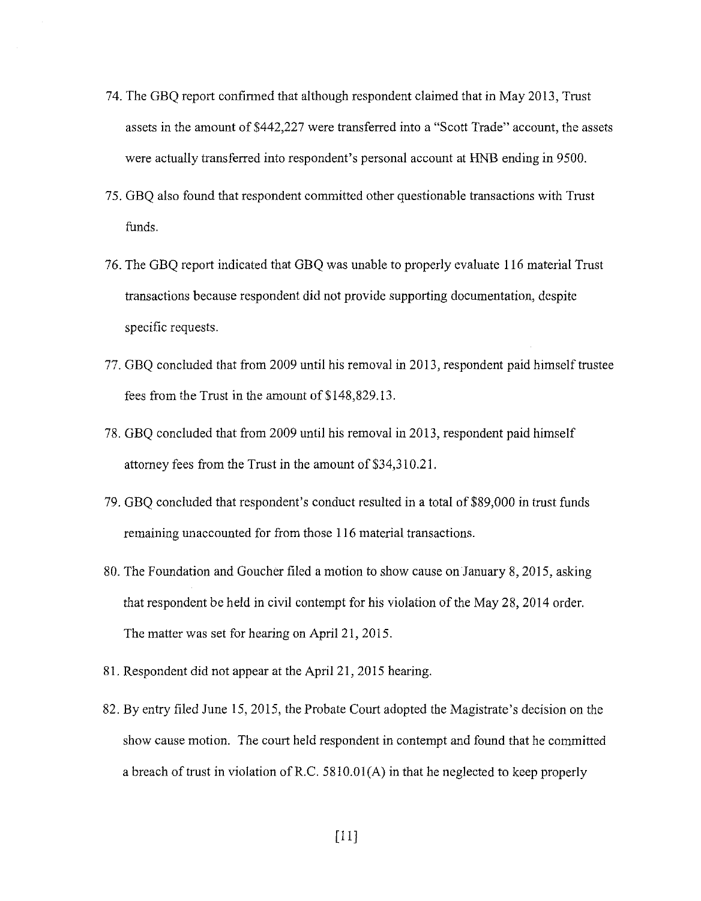- 74. The GBQ report confirmed that although respondent claimed that in May 2013, Trust assets in the amount of \$442,227 were transferred into a "Scott Trade" account, the assets were actually transferred into respondent's personal account at HNB ending in 9500.
- 75. GBQ also found that respondent committed other questionable transactions with Trust funds.
- 76. The GBQ report indicated that GBQ was unable to properly evaluate 116 material Trust transactions because respondent did not provide supporting documentation, despite specific requests.
- 77. GBQ concluded that from 2009 until his removal in 2013, respondent paid himself trustee fees from the Trust in the amount of \$148,829.13.
- 78. GBQ concluded that from 2009 until his removal in 2013, respondent paid himself attorney fees from the Trust in the amount of \$34,310.21.
- 79. GBQ concluded that respondent's conduct resulted in a total of \$89,000 in trust funds remaining unaccounted for from those 116 material transactions.
- 80. The Foundation and Goucher filed a motion to show cause on January 8, 2015, asking that respondent be held in civil contempt for his violation of the May 28, 2014 order. The matter was set for hearing on April 21, 2015.
- 81. Respondent did not appear at the April 21, 2015 hearing.
- 82. By entry filed June 15, 2015, the Probate Court adopted the Magistrate's decision on the show cause motion. The court held respondent in contempt and found that he committed a breach of trust in violation ofR.C. 5810.0l(A) in that he neglected to keep properly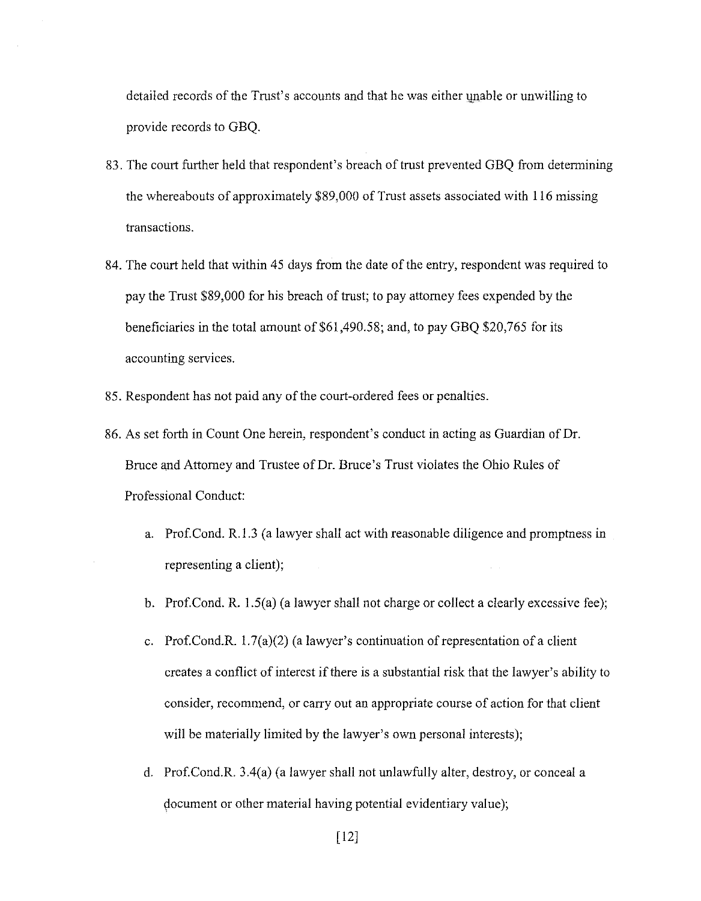detailed records of the Trust's accounts and that he was either unable or unwilling to provide records to GBQ.

- 83. The court further held that respondent's breach of trust prevented GBQ from determining the whereabouts of approximately \$89,000 of Trust assets associated with 116 missing transactions.
- 84. The court held that within 45 days from the date of the entry, respondent was required to pay the Trust \$89,000 for his breach of trust; to pay attorney fees expended by the beneficiaries in the total amount of \$61,490.58; and, to pay GBQ \$20,765 for its accounting services.
- 85. Respondent has not paid any of the court-ordered fees or penalties.
- 86. As set forth in Count One herein, respondent's conduct in acting as Guardian of Dr. Bruce and Attorney and Trustee of Dr. Bruce's Trust violates the Ohio Rules of Professional Conduct:
	- a. Prof.Cond. R.1.3 ( a lawyer shall act with reasonable diligence and promptness in representing a client);
	- b. Prof.Cond. R. l.5(a) (a lawyer shall not charge or collect a clearly excessive fee);
	- c. Prof.Cond.R.  $1.7(a)(2)$  (a lawyer's continuation of representation of a client creates a conflict of interest if there is a substantial risk that the lawyer's ability to consider, recommend, or carry out an appropriate course of action for that client will be materially limited by the lawyer's own personal interests);
	- d. Prof.Cond.R. 3.4(a) (a lawyer shall not unlawfully alter, destroy, or conceal a document or other material having potential evidentiary value);

[12]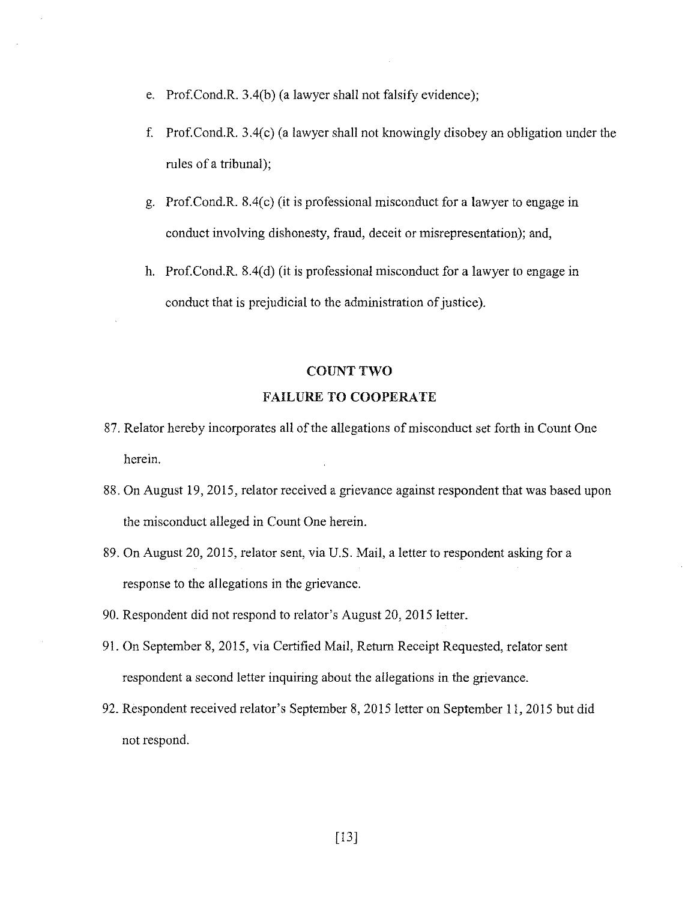- e. Prof.Cond.R. 3.4(b) (a lawyer shall not falsify evidence);
- f. Prof.Cond.R. 3.4(c) (a lawyer shall not knowingly disobey an obligation under the rules of a tribunal);
- g. Prof.Cond.R. 8.4(c) (it is professional misconduct for a lawyer to engage in conduct involving dishonesty, fraud, deceit or misrepresentation); and,
- h. Prof.Cond.R. 8.4(d) (it is professional misconduct for a lawyer to engage in conduct that is prejudicial to the administration of justice).

#### COUNT **TWO**

# FAILURE TO COOPERATE

- 87. Relator hereby incorporates all of the allegations of misconduct set forth in Count One herein.
- 88. On August 19, 2015, relator received a grievance against respondent that was based upon the misconduct alleged in Count One herein.
- 89. On August 20, 2015, relator sent, via U.S. Mail, a letter to respondent asking for a response to the allegations in the grievance.
- 90. Respondent did not respond to relator's August 20, 2015 letter.
- 91. On September 8, 2015, via Certified Mail, Return Receipt Requested, relator sent respondent a second letter inquiring about the allegations in the grievance.
- 92. Respondent received relator's September 8, 2015 letter on September 11, 2015 but did not respond.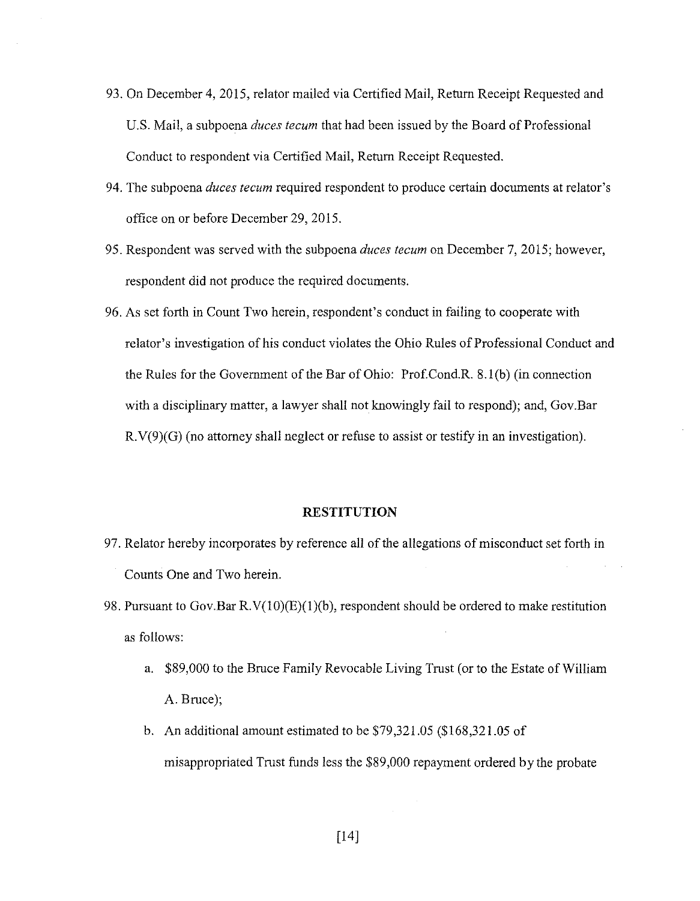- 93. On December 4, 2015, relator mailed via Certified Mail, Return Receipt Requested and U.S. Mail, a subpoena *duces tecum* that had been issued by the Board of Professional Conduct to respondent via Certified Mail, Return Receipt Requested.
- 94. The subpoena *duces tecum* required respondent to produce certain documents at relator's office on or before December 29, 2015.
- 95. Respondent was served with the subpoena *duces tecum* on December 7, 2015; however, respondent did not produce the required documents.
- 96. As set forth in Count Two herein, respondent's conduct in failing to cooperate with relator's investigation of his conduct violates the Ohio Rules of Professional Conduct and the Rules for the Government of the Bar of Ohio: Prof.Cond.R. 8. l(b) (in connection with a disciplinary matter, a lawyer shall not knowingly fail to respond); and, Gov.Bar R.V(9)(G) (no attorney shall neglect or refuse to assist or testify in an investigation).

#### **RESTITUTION**

- 97. Relator hereby incorporates by reference all of the allegations of misconduct set forth in Counts One and Two herein.
- 98. Pursuant to Gov.Bar  $R.V(10)(E)(1)(b)$ , respondent should be ordered to make restitution as follows:
	- a. \$89,000 to the Bruce Family Revocable Living Trust (or to the Estate of William A. Bruce);
	- b. An additional amount estimated to be \$79,321.05 (\$168,321.05 of misappropriated Trust funds less the \$89 ,000 repayment ordered by the probate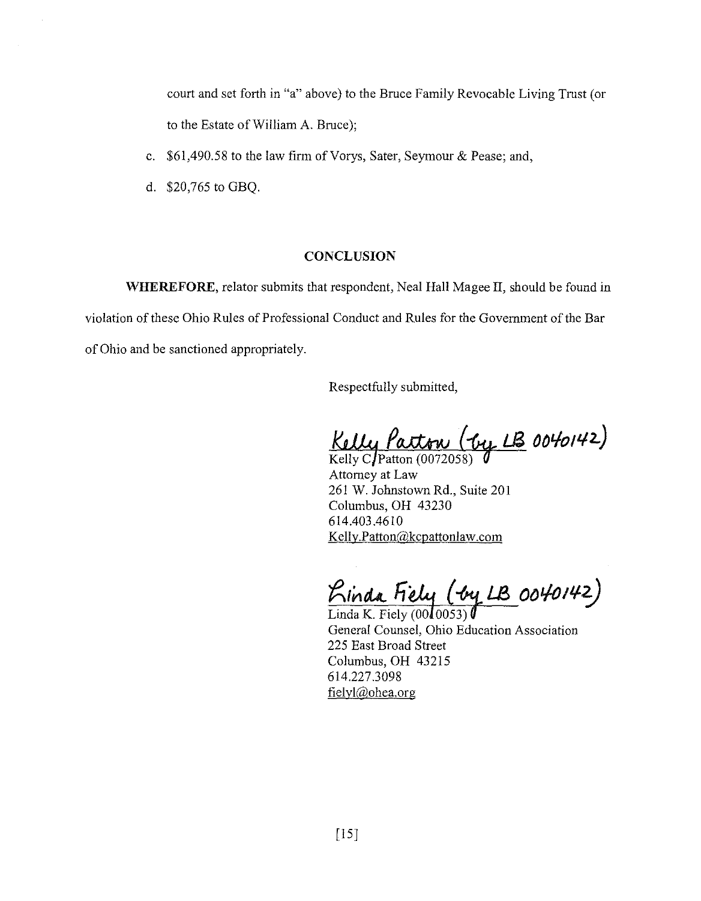court and set forth in "a" above) to the Bruce Family Revocable Living Trust (or to the Estate of William A. Bruce);

- c.  $$61,490.58$  to the law firm of Vorys, Sater, Seymour & Pease; and,
- d. \$20,765 to GBQ.

# **CONCLUSION**

WHEREFORE, relator submits that respondent, Neal Hall Magee II, should be found in violation of these Ohio Rules of Professional Conduct and Rules for the Government of the Bar of Ohio and be sanctioned appropriately.

Respectfully submitted,

 $Kelly$   $\ell$ atton ( $\ell y$   $\ell$ B 0040142)

Attorney at Law 261 W. Johnstown Rd., Suite 201 Columbus, OH 43230 614.403.4610 Kelly.Patton@kcpattonlaw.com

*<u>Kinda Fiely (by LB 0040142)</u>*<br>Linda K. Fiely (0010053)

General Counsel, Ohio Education Association 225 East Broad Street Columbus, OH 43215 614.227.3098 fielyl@ohea.org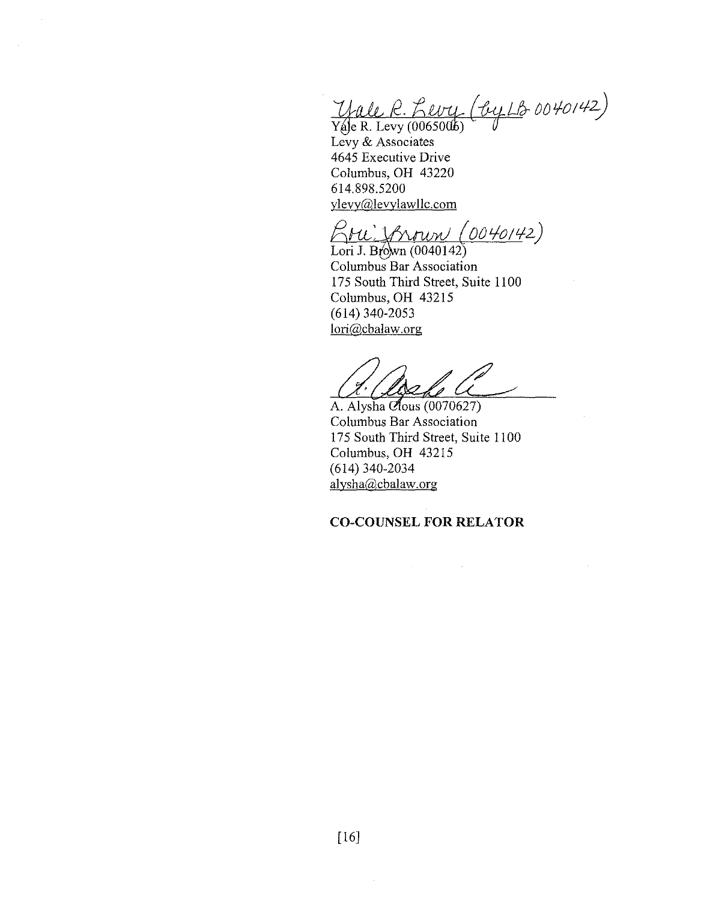$\frac{1}{2}$  Yale R. Levy (0065006)

Levy & Associates 4645 Executive Drive Columbus, OH 43220 614.898.5200 ylevy@levylawllc.com

*()0* Lfo *I t./-2)* 

Lori J. Brown (0040142) Columbus Bar Association 175 South Third Street, Suite 1100 Columbus, OH 43215 (614) 340-2053 lori@cbalaw.org

A. Alysha Clous (0070627) Columbus Bar Association 175 South Third Street, Suite 1100 Columbus, OH 43215 (614) 340-2034 alysha@cbalaw.org

**CO-COUNSEL FOR RELATOR** 

 $\mathcal{L}(\mathcal{A})$  and  $\mathcal{L}(\mathcal{A})$  and  $\mathcal{L}(\mathcal{A})$